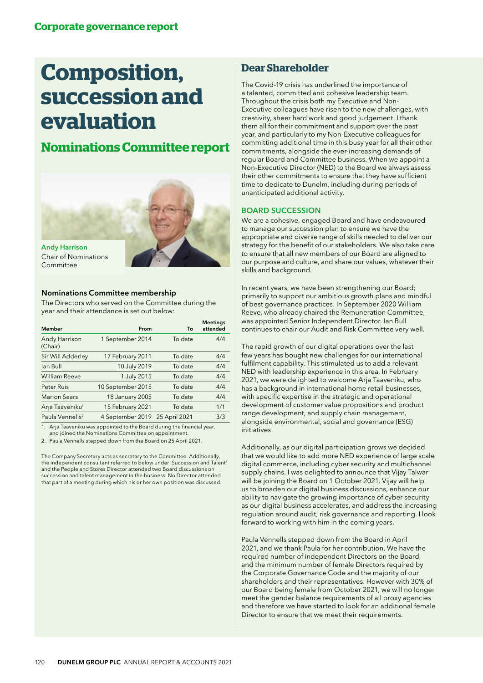# **Composition, succession and evaluation**

# **Nominations Committee report**



# Nominations Committee membership

The Directors who served on the Committee during the year and their attendance is set out below:

| Member                      | From                           | To      | <b>Meetings</b><br>attended |
|-----------------------------|--------------------------------|---------|-----------------------------|
| Andy Harrison<br>(Chair)    | 1 September 2014               | To date | 4/4                         |
| Sir Will Adderley           | 17 February 2011               | To date | 4/4                         |
| lan Bull                    | 10 July 2019                   | To date | 4/4                         |
| <b>William Reeve</b>        | 1 July 2015                    | To date | 4/4                         |
| Peter Ruis                  | 10 September 2015              | To date | 4/4                         |
| <b>Marion Sears</b>         | 18 January 2005                | To date | 4/4                         |
| Arja Taaveniku <sup>1</sup> | 15 February 2021               | To date | 1/1                         |
| Paula Vennells <sup>2</sup> | 4 September 2019 25 April 2021 |         | 3/3                         |

1. Arja Taaveniku was appointed to the Board during the financial year, and joined the Nominations Committee on appointment.

2. Paula Vennells stepped down from the Board on 25 April 2021.

The Company Secretary acts as secretary to the Committee. Additionally, the independent consultant referred to below under 'Succession and Talent' and the People and Stores Director attended two Board discussions on succession and talent management in the business. No Director attended that part of a meeting during which his or her own position was discussed.

# **Dear Shareholder**

The Covid-19 crisis has underlined the importance of a talented, committed and cohesive leadership team. Throughout the crisis both my Executive and Non-Executive colleagues have risen to the new challenges, with creativity, sheer hard work and good judgement. I thank them all for their commitment and support over the past year, and particularly to my Non-Executive colleagues for committing additional time in this busy year for all their other commitments, alongside the ever-increasing demands of regular Board and Committee business. When we appoint a Non-Executive Director (NED) to the Board we always assess their other commitments to ensure that they have sufficient time to dedicate to Dunelm, including during periods of unanticipated additional activity.

# BOARD SUCCESSION

We are a cohesive, engaged Board and have endeavoured to manage our succession plan to ensure we have the appropriate and diverse range of skills needed to deliver our strategy for the benefit of our stakeholders. We also take care to ensure that all new members of our Board are aligned to our purpose and culture, and share our values, whatever their skills and background.

In recent years, we have been strengthening our Board; primarily to support our ambitious growth plans and mindful of best governance practices. In September 2020 William Reeve, who already chaired the Remuneration Committee, was appointed Senior Independent Director. Ian Bull continues to chair our Audit and Risk Committee very well.

The rapid growth of our digital operations over the last few years has bought new challenges for our international fulfilment capability. This stimulated us to add a relevant NED with leadership experience in this area. In February 2021, we were delighted to welcome Arja Taaveniku, who has a background in international home retail businesses, with specific expertise in the strategic and operational development of customer value propositions and product range development, and supply chain management, alongside environmental, social and governance (ESG) initiatives.

Additionally, as our digital participation grows we decided that we would like to add more NED experience of large scale digital commerce, including cyber security and multichannel supply chains. I was delighted to announce that Vijay Talwar will be joining the Board on 1 October 2021. Vijay will help us to broaden our digital business discussions, enhance our ability to navigate the growing importance of cyber security as our digital business accelerates, and address the increasing regulation around audit, risk governance and reporting. I look forward to working with him in the coming years.

Paula Vennells stepped down from the Board in April 2021, and we thank Paula for her contribution. We have the required number of independent Directors on the Board, and the minimum number of female Directors required by the Corporate Governance Code and the majority of our shareholders and their representatives. However with 30% of our Board being female from October 2021, we will no longer meet the gender balance requirements of all proxy agencies and therefore we have started to look for an additional female Director to ensure that we meet their requirements.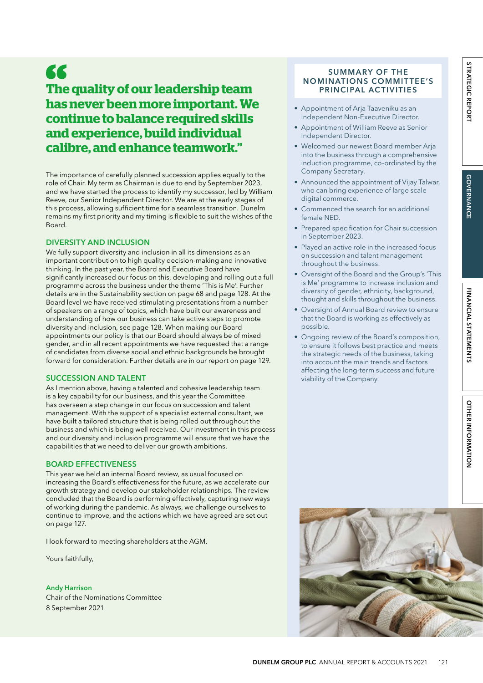# 66

# **The quality of our leadership team has never been more important. We continue to balance required skills and experience, build individual calibre, and enhance teamwork."**

The importance of carefully planned succession applies equally to the role of Chair. My term as Chairman is due to end by September 2023, and we have started the process to identify my successor, led by William Reeve, our Senior Independent Director. We are at the early stages of this process, allowing sufficient time for a seamless transition. Dunelm remains my first priority and my timing is flexible to suit the wishes of the Board.

# DIVERSITY AND INCLUSION

We fully support diversity and inclusion in all its dimensions as an important contribution to high quality decision-making and innovative thinking. In the past year, the Board and Executive Board have significantly increased our focus on this, developing and rolling out a full programme across the business under the theme 'This is Me'. Further details are in the Sustainability section on page 68 and page 128. At the Board level we have received stimulating presentations from a number of speakers on a range of topics, which have built our awareness and understanding of how our business can take active steps to promote diversity and inclusion, see page 128. When making our Board appointments our policy is that our Board should always be of mixed gender, and in all recent appointments we have requested that a range of candidates from diverse social and ethnic backgrounds be brought forward for consideration. Further details are in our report on page 129.

# SUCCESSION AND TALENT

As I mention above, having a talented and cohesive leadership team is a key capability for our business, and this year the Committee has overseen a step change in our focus on succession and talent management. With the support of a specialist external consultant, we have built a tailored structure that is being rolled out throughout the business and which is being well received. Our investment in this process and our diversity and inclusion programme will ensure that we have the capabilities that we need to deliver our growth ambitions.

# BOARD EFFECTIVENESS

This year we held an internal Board review, as usual focused on increasing the Board's effectiveness for the future, as we accelerate our growth strategy and develop our stakeholder relationships. The review concluded that the Board is performing effectively, capturing new ways of working during the pandemic. As always, we challenge ourselves to continue to improve, and the actions which we have agreed are set out on page 127.

I look forward to meeting shareholders at the AGM.

Yours faithfully,

#### Andy Harrison

Chair of the Nominations Committee 8 September 2021

### SUMMARY OF THE NOMINATIONS COMMIT TEE'S PRINCIPAL ACTIVITIES

- Appointment of Arja Taaveniku as an Independent Non-Executive Director.
- Appointment of William Reeve as Senior Independent Director.
- Welcomed our newest Board member Arja into the business through a comprehensive induction programme, co-ordinated by the Company Secretary.
- Announced the appointment of Vijay Talwar, who can bring experience of large scale digital commerce.
- Commenced the search for an additional female NED.
- Prepared specification for Chair succession in September 2023.
- Played an active role in the increased focus on succession and talent management throughout the business.
- Oversight of the Board and the Group's 'This is Me' programme to increase inclusion and diversity of gender, ethnicity, background, thought and skills throughout the business.
- Oversight of Annual Board review to ensure that the Board is working as effectively as possible.
- Ongoing review of the Board's composition, to ensure it follows best practice and meets the strategic needs of the business, taking into account the main trends and factors affecting the long-term success and future viability of the Company.

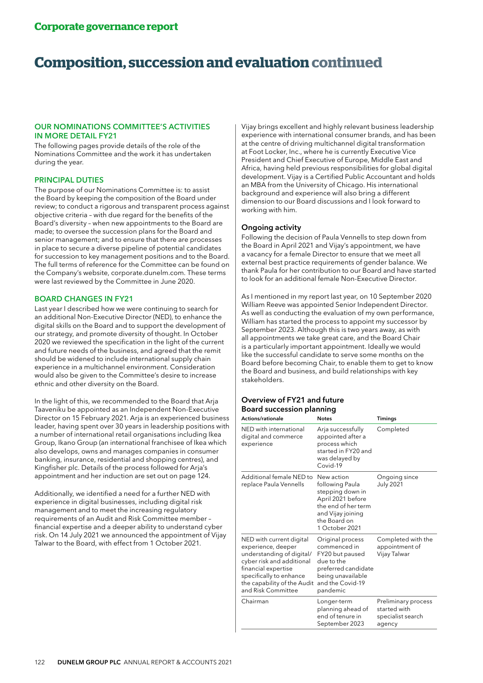# **Composition, succession and evaluation continued**

### OUR NOMINATIONS COMMITTEE'S ACTIVITIES IN MORE DETAIL FY21

The following pages provide details of the role of the Nominations Committee and the work it has undertaken during the year.

### PRINCIPAL DUTIES

The purpose of our Nominations Committee is: to assist the Board by keeping the composition of the Board under review; to conduct a rigorous and transparent process against objective criteria – with due regard for the benefits of the Board's diversity – when new appointments to the Board are made; to oversee the succession plans for the Board and senior management; and to ensure that there are processes in place to secure a diverse pipeline of potential candidates for succession to key management positions and to the Board. The full terms of reference for the Committee can be found on the Company's website, corporate.dunelm.com. These terms were last reviewed by the Committee in June 2020.

### BOARD CHANGES IN FY21

Last year I described how we were continuing to search for an additional Non-Executive Director (NED), to enhance the digital skills on the Board and to support the development of our strategy, and promote diversity of thought. In October 2020 we reviewed the specification in the light of the current and future needs of the business, and agreed that the remit should be widened to include international supply chain experience in a multichannel environment. Consideration would also be given to the Committee's desire to increase ethnic and other diversity on the Board.

In the light of this, we recommended to the Board that Arja Taaveniku be appointed as an Independent Non-Executive Director on 15 February 2021. Arja is an experienced business leader, having spent over 30 years in leadership positions with a number of international retail organisations including Ikea Group, Ikano Group (an international franchisee of Ikea which also develops, owns and manages companies in consumer banking, insurance, residential and shopping centres), and Kingfisher plc. Details of the process followed for Arja's appointment and her induction are set out on page 124.

Additionally, we identified a need for a further NED with experience in digital businesses, including digital risk management and to meet the increasing regulatory requirements of an Audit and Risk Committee member – financial expertise and a deeper ability to understand cyber risk. On 14 July 2021 we announced the appointment of Vijay Talwar to the Board, with effect from 1 October 2021.

Vijay brings excellent and highly relevant business leadership experience with international consumer brands, and has been at the centre of driving multichannel digital transformation at Foot Locker, Inc., where he is currently Executive Vice President and Chief Executive of Europe, Middle East and Africa, having held previous responsibilities for global digital development. Vijay is a Certified Public Accountant and holds an MBA from the University of Chicago. His international background and experience will also bring a different dimension to our Board discussions and I look forward to working with him.

### Ongoing activity

Following the decision of Paula Vennells to step down from the Board in April 2021 and Vijay's appointment, we have a vacancy for a female Director to ensure that we meet all external best practice requirements of gender balance. We thank Paula for her contribution to our Board and have started to look for an additional female Non-Executive Director.

As I mentioned in my report last year, on 10 September 2020 William Reeve was appointed Senior Independent Director. As well as conducting the evaluation of my own performance, William has started the process to appoint my successor by September 2023. Although this is two years away, as with all appointments we take great care, and the Board Chair is a particularly important appointment. Ideally we would like the successful candidate to serve some months on the Board before becoming Chair, to enable them to get to know the Board and business, and build relationships with key stakeholders.

# Overview of FY21 and future Board succession planning

| <b>Actions/rationale</b>                                                                                                                                                                                        | <b>Notes</b>                                                                                                                                         | <b>Timings</b>                                                     |  |
|-----------------------------------------------------------------------------------------------------------------------------------------------------------------------------------------------------------------|------------------------------------------------------------------------------------------------------------------------------------------------------|--------------------------------------------------------------------|--|
| NED with international<br>digital and commerce<br>experience                                                                                                                                                    | Arja successfully<br>appointed after a<br>process which<br>started in FY20 and<br>was delayed by<br>Covid-19                                         | Completed                                                          |  |
| Additional female NED to<br>replace Paula Vennells                                                                                                                                                              | New action<br>following Paula<br>stepping down in<br>April 2021 before<br>the end of her term<br>and Vijay joining<br>the Board on<br>1 October 2021 | Ongoing since<br><b>July 2021</b>                                  |  |
| NED with current digital<br>experience, deeper<br>understanding of digital/<br>cyber risk and additional<br>financial expertise<br>specifically to enhance<br>the capability of the Audit<br>and Risk Committee | Original process<br>commenced in<br>FY20 but paused<br>due to the<br>preferred candidate<br>being unavailable<br>and the Covid-19<br>pandemic        | Completed with the<br>appointment of<br>Vijay Talwar               |  |
| Chairman                                                                                                                                                                                                        | Longer-term<br>planning ahead of<br>end of tenure in<br>September 2023                                                                               | Preliminary process<br>started with<br>specialist search<br>agency |  |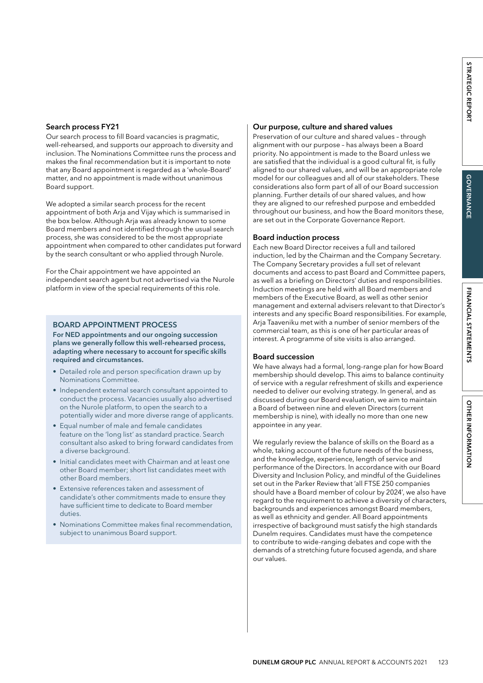Our search process to fill Board vacancies is pragmatic, well-rehearsed, and supports our approach to diversity and inclusion. The Nominations Committee runs the process and makes the final recommendation but it is important to note that any Board appointment is regarded as a 'whole-Board' matter, and no appointment is made without unanimous Board support.

We adopted a similar search process for the recent appointment of both Arja and Vijay which is summarised in the box below. Although Arja was already known to some Board members and not identified through the usual search process, she was considered to be the most appropriate appointment when compared to other candidates put forward by the search consultant or who applied through Nurole.

For the Chair appointment we have appointed an independent search agent but not advertised via the Nurole platform in view of the special requirements of this role.

# BOARD APPOINTMENT PROCESS

For NED appointments and our ongoing succession plans we generally follow this well-rehearsed process, adapting where necessary to account for specific skills required and circumstances.

- Detailed role and person specification drawn up by Nominations Committee.
- Independent external search consultant appointed to conduct the process. Vacancies usually also advertised on the Nurole platform, to open the search to a potentially wider and more diverse range of applicants.
- Equal number of male and female candidates feature on the 'long list' as standard practice. Search consultant also asked to bring forward candidates from a diverse background.
- Initial candidates meet with Chairman and at least one other Board member; short list candidates meet with other Board members.
- Extensive references taken and assessment of candidate's other commitments made to ensure they have sufficient time to dedicate to Board member duties.
- Nominations Committee makes final recommendation, subject to unanimous Board support.

# Our purpose, culture and shared values

Preservation of our culture and shared values – through alignment with our purpose – has always been a Board priority. No appointment is made to the Board unless we are satisfied that the individual is a good cultural fit, is fully aligned to our shared values, and will be an appropriate role model for our colleagues and all of our stakeholders. These considerations also form part of all of our Board succession planning. Further details of our shared values, and how they are aligned to our refreshed purpose and embedded throughout our business, and how the Board monitors these, are set out in the Corporate Governance Report.

# Board induction process

Each new Board Director receives a full and tailored induction, led by the Chairman and the Company Secretary. The Company Secretary provides a full set of relevant documents and access to past Board and Committee papers, as well as a briefing on Directors' duties and responsibilities. Induction meetings are held with all Board members and members of the Executive Board, as well as other senior management and external advisers relevant to that Director's interests and any specific Board responsibilities. For example, Arja Taaveniku met with a number of senior members of the commercial team, as this is one of her particular areas of interest. A programme of site visits is also arranged.

# Board succession

We have always had a formal, long-range plan for how Board membership should develop. This aims to balance continuity of service with a regular refreshment of skills and experience needed to deliver our evolving strategy. In general, and as discussed during our Board evaluation, we aim to maintain a Board of between nine and eleven Directors (current membership is nine), with ideally no more than one new appointee in any year.

We regularly review the balance of skills on the Board as a whole, taking account of the future needs of the business, and the knowledge, experience, length of service and performance of the Directors. In accordance with our Board Diversity and Inclusion Policy, and mindful of the Guidelines set out in the Parker Review that 'all FTSE 250 companies should have a Board member of colour by 2024', we also have regard to the requirement to achieve a diversity of characters, backgrounds and experiences amongst Board members, as well as ethnicity and gender. All Board appointments irrespective of background must satisfy the high standards Dunelm requires. Candidates must have the competence to contribute to wide-ranging debates and cope with the demands of a stretching future focused agenda, and share our values.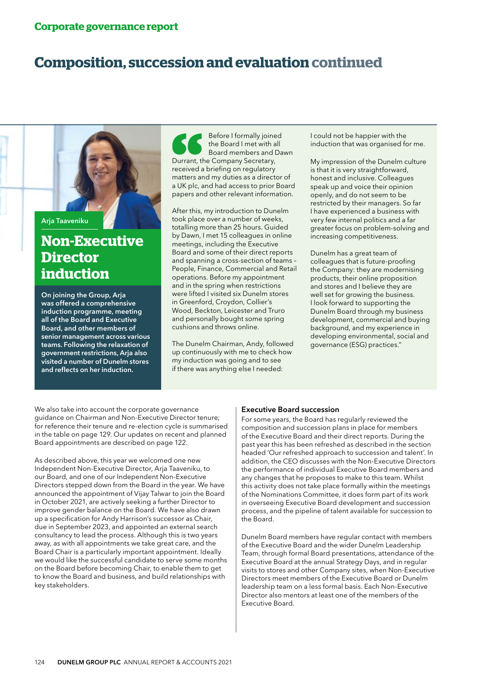# **Composition, succession and evaluation continued**

Arja Taaveniku

# **Non-Executive Director induction**

On joining the Group, Arja was offered a comprehensive induction programme, meeting all of the Board and Executive Board, and other members of senior management across various teams. Following the relaxation of government restrictions, Arja also visited a number of Dunelm stores and reflects on her induction.

Before I formally joined the Board I met with all Board members and Dawn Durrant, the Company Secretary, received a briefing on regulatory matters and my duties as a director of a UK plc, and had access to prior Board papers and other relevant information.

After this, my introduction to Dunelm took place over a number of weeks, totalling more than 25 hours. Guided by Dawn, I met 15 colleagues in online meetings, including the Executive Board and some of their direct reports and spanning a cross-section of teams – People, Finance, Commercial and Retail operations. Before my appointment and in the spring when restrictions were lifted I visited six Dunelm stores in Greenford, Croydon, Collier's Wood, Beckton, Leicester and Truro and personally bought some spring cushions and throws online.

The Dunelm Chairman, Andy, followed up continuously with me to check how my induction was going and to see if there was anything else I needed:

I could not be happier with the induction that was organised for me.

My impression of the Dunelm culture is that it is very straightforward, honest and inclusive. Colleagues speak up and voice their opinion openly, and do not seem to be restricted by their managers. So far I have experienced a business with very few internal politics and a far greater focus on problem-solving and increasing competitiveness.

Dunelm has a great team of colleagues that is future-proofing the Company: they are modernising products, their online proposition and stores and I believe they are well set for growing the business. I look forward to supporting the Dunelm Board through my business development, commercial and buying background, and my experience in developing environmental, social and governance (ESG) practices."

We also take into account the corporate governance guidance on Chairman and Non-Executive Director tenure; for reference their tenure and re-election cycle is summarised in the table on page 129. Our updates on recent and planned Board appointments are described on page 122.

As described above, this year we welcomed one new Independent Non-Executive Director, Arja Taaveniku, to our Board, and one of our Independent Non-Executive Directors stepped down from the Board in the year. We have announced the appointment of Vijay Talwar to join the Board in October 2021, are actively seeking a further Director to improve gender balance on the Board. We have also drawn up a specification for Andy Harrison's successor as Chair, due in September 2023, and appointed an external search consultancy to lead the process. Although this is two years away, as with all appointments we take great care, and the Board Chair is a particularly important appointment. Ideally we would like the successful candidate to serve some months on the Board before becoming Chair, to enable them to get to know the Board and business, and build relationships with key stakeholders.

# Executive Board succession

For some years, the Board has regularly reviewed the composition and succession plans in place for members of the Executive Board and their direct reports. During the past year this has been refreshed as described in the section headed 'Our refreshed approach to succession and talent'. In addition, the CEO discusses with the Non-Executive Directors the performance of individual Executive Board members and any changes that he proposes to make to this team. Whilst this activity does not take place formally within the meetings of the Nominations Committee, it does form part of its work in overseeing Executive Board development and succession process, and the pipeline of talent available for succession to the Board.

Dunelm Board members have regular contact with members of the Executive Board and the wider Dunelm Leadership Team, through formal Board presentations, attendance of the Executive Board at the annual Strategy Days, and in regular visits to stores and other Company sites, when Non-Executive Directors meet members of the Executive Board or Dunelm leadership team on a less formal basis. Each Non-Executive Director also mentors at least one of the members of the Executive Board.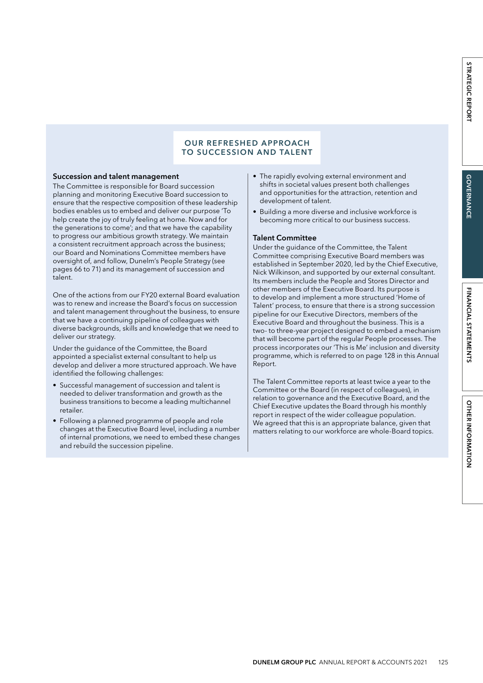# OUR REFRESHED APPROACH TO SUCCESSION AND TALENT

#### Succession and talent management

The Committee is responsible for Board succession planning and monitoring Executive Board succession to ensure that the respective composition of these leadership bodies enables us to embed and deliver our purpose 'To help create the joy of truly feeling at home. Now and for the generations to come'; and that we have the capability to progress our ambitious growth strategy. We maintain a consistent recruitment approach across the business; our Board and Nominations Committee members have oversight of, and follow, Dunelm's People Strategy (see pages 66 to 71) and its management of succession and talent.

One of the actions from our FY20 external Board evaluation was to renew and increase the Board's focus on succession and talent management throughout the business, to ensure that we have a continuing pipeline of colleagues with diverse backgrounds, skills and knowledge that we need to deliver our strategy.

Under the guidance of the Committee, the Board appointed a specialist external consultant to help us develop and deliver a more structured approach. We have identified the following challenges:

- Successful management of succession and talent is needed to deliver transformation and growth as the business transitions to become a leading multichannel retailer.
- Following a planned programme of people and role changes at the Executive Board level, including a number of internal promotions, we need to embed these changes and rebuild the succession pipeline.
- The rapidly evolving external environment and shifts in societal values present both challenges and opportunities for the attraction, retention and development of talent.
- Building a more diverse and inclusive workforce is becoming more critical to our business success.

#### Talent Committee

Under the guidance of the Committee, the Talent Committee comprising Executive Board members was established in September 2020, led by the Chief Executive, Nick Wilkinson, and supported by our external consultant. Its members include the People and Stores Director and other members of the Executive Board. Its purpose is to develop and implement a more structured 'Home of Talent' process, to ensure that there is a strong succession pipeline for our Executive Directors, members of the Executive Board and throughout the business. This is a two- to three-year project designed to embed a mechanism that will become part of the regular People processes. The process incorporates our 'This is Me' inclusion and diversity programme, which is referred to on page 128 in this Annual Report.

The Talent Committee reports at least twice a year to the Committee or the Board (in respect of colleagues), in relation to governance and the Executive Board, and the Chief Executive updates the Board through his monthly report in respect of the wider colleague population. We agreed that this is an appropriate balance, given that matters relating to our workforce are whole-Board topics.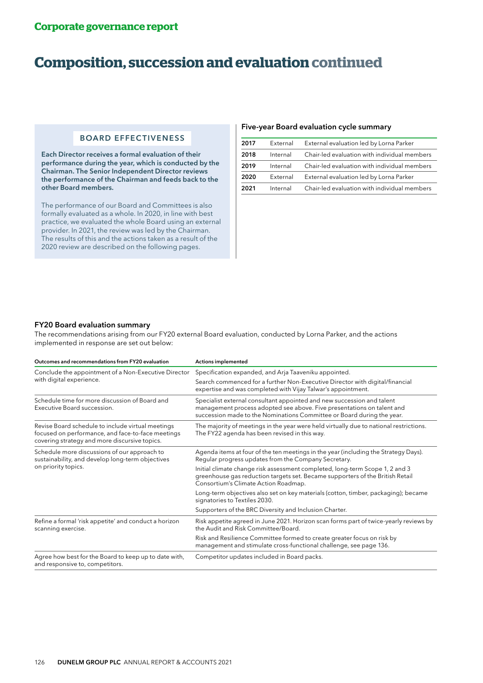# **Composition, succession and evaluation continued**

# BOARD EFFECTIVENESS

Each Director receives a formal evaluation of their performance during the year, which is conducted by the Chairman. The Senior Independent Director reviews the performance of the Chairman and feeds back to the other Board members.

The performance of our Board and Committees is also formally evaluated as a whole. In 2020, in line with best practice, we evaluated the whole Board using an external provider. In 2021, the review was led by the Chairman. The results of this and the actions taken as a result of the 2020 review are described on the following pages.

#### Five-year Board evaluation cycle summary

| 2017 | External | External evaluation led by Lorna Parker      |
|------|----------|----------------------------------------------|
| 2018 | Internal | Chair-led evaluation with individual members |
| 2019 | Internal | Chair-led evaluation with individual members |
| 2020 | External | External evaluation led by Lorna Parker      |
| 2021 | Internal | Chair-led evaluation with individual members |

### FY20 Board evaluation summary

The recommendations arising from our FY20 external Board evaluation, conducted by Lorna Parker, and the actions implemented in response are set out below:

| Outcomes and recommendations from FY20 evaluation                                                                                                       | <b>Actions implemented</b>                                                                                                                                                                                                 |  |  |
|---------------------------------------------------------------------------------------------------------------------------------------------------------|----------------------------------------------------------------------------------------------------------------------------------------------------------------------------------------------------------------------------|--|--|
| Conclude the appointment of a Non-Executive Director                                                                                                    | Specification expanded, and Arja Taaveniku appointed.                                                                                                                                                                      |  |  |
| with digital experience.                                                                                                                                | Search commenced for a further Non-Executive Director with digital/financial<br>expertise and was completed with Vijay Talwar's appointment.                                                                               |  |  |
| Schedule time for more discussion of Board and<br>Executive Board succession.                                                                           | Specialist external consultant appointed and new succession and talent<br>management process adopted see above. Five presentations on talent and<br>succession made to the Nominations Committee or Board during the year. |  |  |
| Revise Board schedule to include virtual meetings<br>focused on performance, and face-to-face meetings<br>covering strategy and more discursive topics. | The majority of meetings in the year were held virtually due to national restrictions.<br>The FY22 agenda has been revised in this way.                                                                                    |  |  |
| Schedule more discussions of our approach to<br>sustainability, and develop long-term objectives                                                        | Agenda items at four of the ten meetings in the year (including the Strategy Days).<br>Regular progress updates from the Company Secretary.                                                                                |  |  |
| on priority topics.                                                                                                                                     | Initial climate change risk assessment completed, long-term Scope 1, 2 and 3<br>greenhouse gas reduction targets set. Became supporters of the British Retail<br>Consortium's Climate Action Roadmap.                      |  |  |
|                                                                                                                                                         | Long-term objectives also set on key materials (cotton, timber, packaging); became<br>signatories to Textiles 2030.                                                                                                        |  |  |
|                                                                                                                                                         | Supporters of the BRC Diversity and Inclusion Charter.                                                                                                                                                                     |  |  |
| Refine a formal 'risk appetite' and conduct a horizon<br>scanning exercise.                                                                             | Risk appetite agreed in June 2021. Horizon scan forms part of twice-yearly reviews by<br>the Audit and Risk Committee/Board.                                                                                               |  |  |
|                                                                                                                                                         | Risk and Resilience Committee formed to create greater focus on risk by<br>management and stimulate cross-functional challenge, see page 136.                                                                              |  |  |
| Agree how best for the Board to keep up to date with,<br>and responsive to, competitors.                                                                | Competitor updates included in Board packs.                                                                                                                                                                                |  |  |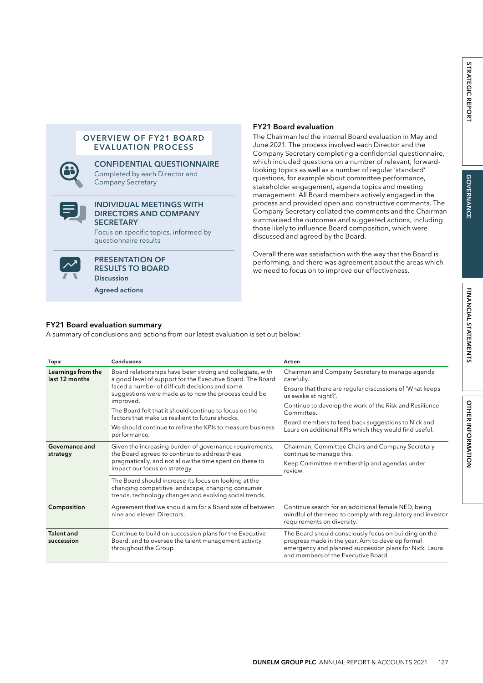# OVERVIEW OF FY21 BOARD EVALUATION PROCESS



#### CONFIDENTIAL QUESTIONNAIRE Completed by each Director and Company Secretary



### INDIVIDUAL MEETINGS WITH DIRECTORS AND COMPANY **SECRETARY**

Focus on specific topics, informed by questionnaire results



PRESENTATION OF RESULTS TO BOARD **Discussion** 

Agreed actions

# FY21 Board evaluation

The Chairman led the internal Board evaluation in May and June 2021. The process involved each Director and the Company Secretary completing a confidential questionnaire, which included questions on a number of relevant, forwardlooking topics as well as a number of regular 'standard' questions, for example about committee performance, stakeholder engagement, agenda topics and meeting management. All Board members actively engaged in the process and provided open and constructive comments. The Company Secretary collated the comments and the Chairman summarised the outcomes and suggested actions, including those likely to influence Board composition, which were discussed and agreed by the Board.

Overall there was satisfaction with the way that the Board is performing, and there was agreement about the areas which we need to focus on to improve our effectiveness.

# FY21 Board evaluation summary

A summary of conclusions and actions from our latest evaluation is set out below:

| <b>Topic</b>                         | <b>Conclusions</b>                                                                                                                                                   | Action                                                                                                                                                                                                     |  |
|--------------------------------------|----------------------------------------------------------------------------------------------------------------------------------------------------------------------|------------------------------------------------------------------------------------------------------------------------------------------------------------------------------------------------------------|--|
| Learnings from the<br>last 12 months | Board relationships have been strong and collegiate, with<br>a good level of support for the Executive Board. The Board                                              | Chairman and Company Secretary to manage agenda<br>carefully.                                                                                                                                              |  |
|                                      | faced a number of difficult decisions and some<br>suggestions were made as to how the process could be<br>improved.                                                  | Ensure that there are regular discussions of 'What keeps<br>us awake at night?'.                                                                                                                           |  |
|                                      | The Board felt that it should continue to focus on the<br>factors that make us resilient to future shocks.                                                           | Continue to develop the work of the Risk and Resilience<br>Committee.                                                                                                                                      |  |
|                                      | We should continue to refine the KPIs to measure business<br>performance.                                                                                            | Board members to feed back suggestions to Nick and<br>Laura on additional KPIs which they would find useful.                                                                                               |  |
| Governance and<br>strategy           | Given the increasing burden of governance requirements,<br>the Board agreed to continue to address these                                                             | Chairman, Committee Chairs and Company Secretary<br>continue to manage this.                                                                                                                               |  |
|                                      | pragmatically, and not allow the time spent on these to<br>impact our focus on strategy.                                                                             | Keep Committee membership and agendas under<br>review.                                                                                                                                                     |  |
|                                      | The Board should increase its focus on looking at the<br>changing competitive landscape, changing consumer<br>trends, technology changes and evolving social trends. |                                                                                                                                                                                                            |  |
| Composition                          | Agreement that we should aim for a Board size of between<br>nine and eleven Directors.                                                                               | Continue search for an additional female NED, being<br>mindful of the need to comply with regulatory and investor<br>requirements on diversity.                                                            |  |
| Talent and<br>succession             | Continue to build on succession plans for the Executive<br>Board, and to oversee the talent management activity<br>throughout the Group.                             | The Board should consciously focus on building on the<br>progress made in the year. Aim to develop formal<br>emergency and planned succession plans for Nick, Laura<br>and members of the Executive Board. |  |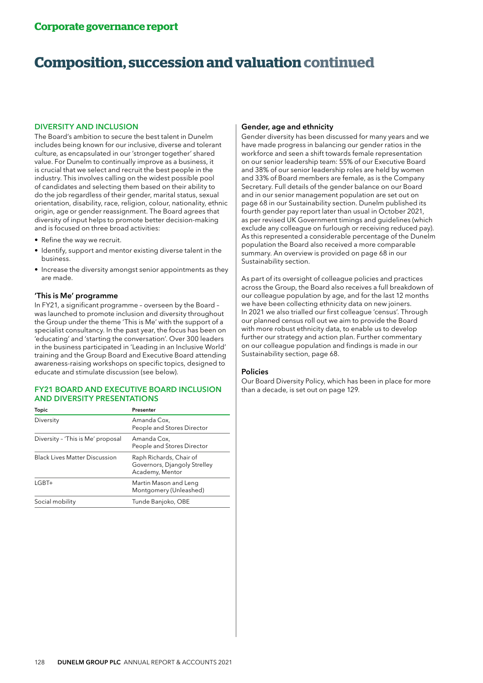# **Composition, succession and valuation continued**

#### DIVERSITY AND INCLUSION

The Board's ambition to secure the best talent in Dunelm includes being known for our inclusive, diverse and tolerant culture, as encapsulated in our 'stronger together' shared value. For Dunelm to continually improve as a business, it is crucial that we select and recruit the best people in the industry. This involves calling on the widest possible pool of candidates and selecting them based on their ability to do the job regardless of their gender, marital status, sexual orientation, disability, race, religion, colour, nationality, ethnic origin, age or gender reassignment. The Board agrees that diversity of input helps to promote better decision-making and is focused on three broad activities:

- Refine the way we recruit.
- Identify, support and mentor existing diverse talent in the business.
- Increase the diversity amongst senior appointments as they are made.

### 'This is Me' programme

In FY21, a significant programme – overseen by the Board – was launched to promote inclusion and diversity throughout the Group under the theme 'This is Me' with the support of a specialist consultancy. In the past year, the focus has been on 'educating' and 'starting the conversation'. Over 300 leaders in the business participated in 'Leading in an Inclusive World' training and the Group Board and Executive Board attending awareness-raising workshops on specific topics, designed to educate and stimulate discussion (see below).

### FY21 BOARD AND EXECUTIVE BOARD INCLUSION AND DIVERSITY PRESENTATIONS

| <b>Topic</b>                         | Presenter                                                                  |
|--------------------------------------|----------------------------------------------------------------------------|
| Diversity                            | Amanda Cox,<br>People and Stores Director                                  |
| Diversity - 'This is Me' proposal    | Amanda Cox,<br>People and Stores Director                                  |
| <b>Black Lives Matter Discussion</b> | Raph Richards, Chair of<br>Governors, Djangoly Strelley<br>Academy, Mentor |
| $LGBT+$                              | Martin Mason and Leng<br>Montgomery (Unleashed)                            |
| Social mobility                      | Tunde Banjoko, OBE                                                         |

# Gender, age and ethnicity

Gender diversity has been discussed for many years and we have made progress in balancing our gender ratios in the workforce and seen a shift towards female representation on our senior leadership team: 55% of our Executive Board and 38% of our senior leadership roles are held by women and 33% of Board members are female, as is the Company Secretary. Full details of the gender balance on our Board and in our senior management population are set out on page 68 in our Sustainability section. Dunelm published its fourth gender pay report later than usual in October 2021, as per revised UK Government timings and guidelines (which exclude any colleague on furlough or receiving reduced pay). As this represented a considerable percentage of the Dunelm population the Board also received a more comparable summary. An overview is provided on page 68 in our Sustainability section.

As part of its oversight of colleague policies and practices across the Group, the Board also receives a full breakdown of our colleague population by age, and for the last 12 months we have been collecting ethnicity data on new joiners. In 2021 we also trialled our first colleague 'census'. Through our planned census roll out we aim to provide the Board with more robust ethnicity data, to enable us to develop further our strategy and action plan. Further commentary on our colleague population and findings is made in our Sustainability section, page 68.

#### Policies

Our Board Diversity Policy, which has been in place for more than a decade, is set out on page 129.